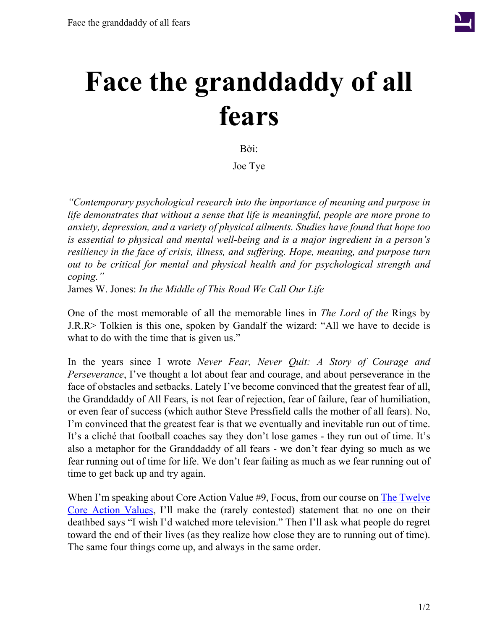

## **Face the granddaddy of all fears**

Bởi:

Joe Tye

*"Contemporary psychological research into the importance of meaning and purpose in life demonstrates that without a sense that life is meaningful, people are more prone to anxiety, depression, and a variety of physical ailments. Studies have found that hope too is essential to physical and mental well-being and is a major ingredient in a person's resiliency in the face of crisis, illness, and suffering. Hope, meaning, and purpose turn out to be critical for mental and physical health and for psychological strength and coping."*

James W. Jones: *In the Middle of This Road We Call Our Life*

One of the most memorable of all the memorable lines in *The Lord of the* Rings by J.R.R> Tolkien is this one, spoken by Gandalf the wizard: "All we have to decide is what to do with the time that is given us."

In the years since I wrote *Never Fear, Never Quit: A Story of Courage and Perseverance*, I've thought a lot about fear and courage, and about perseverance in the face of obstacles and setbacks. Lately I've become convinced that the greatest fear of all, the Granddaddy of All Fears, is not fear of rejection, fear of failure, fear of humiliation, or even fear of success (which author Steve Pressfield calls the mother of all fears). No, I'm convinced that the greatest fear is that we eventually and inevitable run out of time. It's a cliché that football coaches say they don't lose games - they run out of time. It's also a metaphor for the Granddaddy of all fears - we don't fear dying so much as we fear running out of time for life. We don't fear failing as much as we fear running out of time to get back up and try again.

When I'm speaking about Core Action Value #9, Focus, from our course on The [Twelve](http://valuescoachinc.com/cav-overview) Core Action [Values,](http://valuescoachinc.com/cav-overview) I'll make the (rarely contested) statement that no one on their deathbed says "I wish I'd watched more television." Then I'll ask what people do regret toward the end of their lives (as they realize how close they are to running out of time). The same four things come up, and always in the same order.